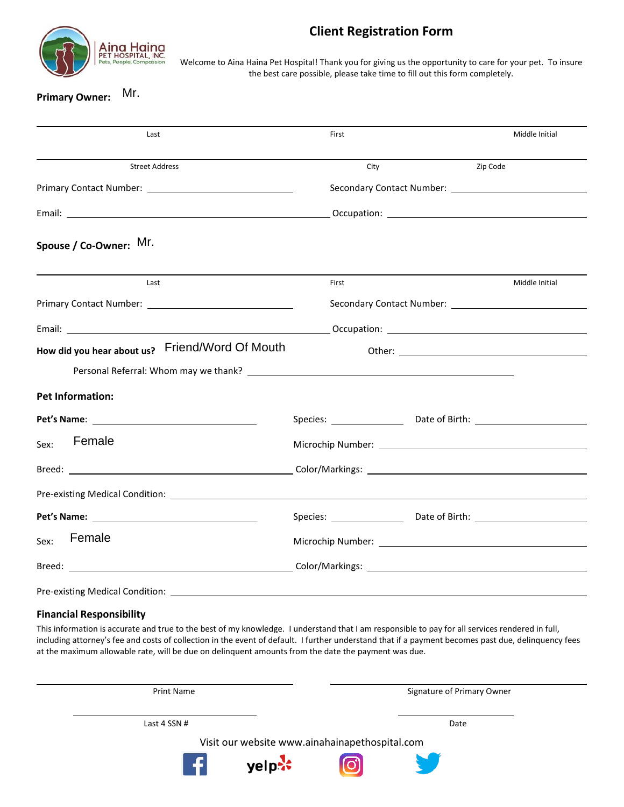

## **Client Registration Form**

Welcome to Aina Haina Pet Hospital! Thank you for giving us the opportunity to care for your pet. To insure the best care possible, please take time to fill out this form completely.

# **Primary Owner: Mr.**

| Mr.<br><b>Primary Owner:</b>                    |                                                                                  |          |                |
|-------------------------------------------------|----------------------------------------------------------------------------------|----------|----------------|
| Last                                            | First                                                                            |          | Middle Initial |
| <b>Street Address</b>                           | City                                                                             | Zip Code |                |
|                                                 |                                                                                  |          |                |
|                                                 |                                                                                  |          |                |
| Spouse / Co-Owner: Mr.                          |                                                                                  |          |                |
| Last                                            | First                                                                            |          | Middle Initial |
|                                                 |                                                                                  |          |                |
|                                                 |                                                                                  |          |                |
| How did you hear about us? Friend/Word Of Mouth |                                                                                  |          |                |
|                                                 |                                                                                  |          |                |
| <b>Pet Information:</b>                         |                                                                                  |          |                |
|                                                 | Species: _________________________Date of Birth: _______________________________ |          |                |
| Female<br>Sex:                                  | Microchip Number: University of the Microchip Number:                            |          |                |
|                                                 |                                                                                  |          |                |
|                                                 |                                                                                  |          |                |
|                                                 | Species: Date of Birth: 1990 March 2010                                          |          |                |
| Female<br>Sex:                                  |                                                                                  |          |                |
|                                                 |                                                                                  |          |                |
|                                                 |                                                                                  |          |                |

#### **Financial Responsibility**

This information is accurate and true to the best of my knowledge. I understand that I am responsible to pay for all services rendered in full, including attorney's fee and costs of collection in the event of default. I further understand that if a payment becomes past due, delinquency fees at the maximum allowable rate, will be due on delinquent amounts from the date the payment was due.

| <b>Print Name</b>                              | Signature of Primary Owner |  |  |  |
|------------------------------------------------|----------------------------|--|--|--|
| Last 4 SSN $#$                                 | Date                       |  |  |  |
| Visit our website www.ainahainapethospital.com |                            |  |  |  |
| $\left  \cdot \right $<br>yelp <b>**</b>       |                            |  |  |  |